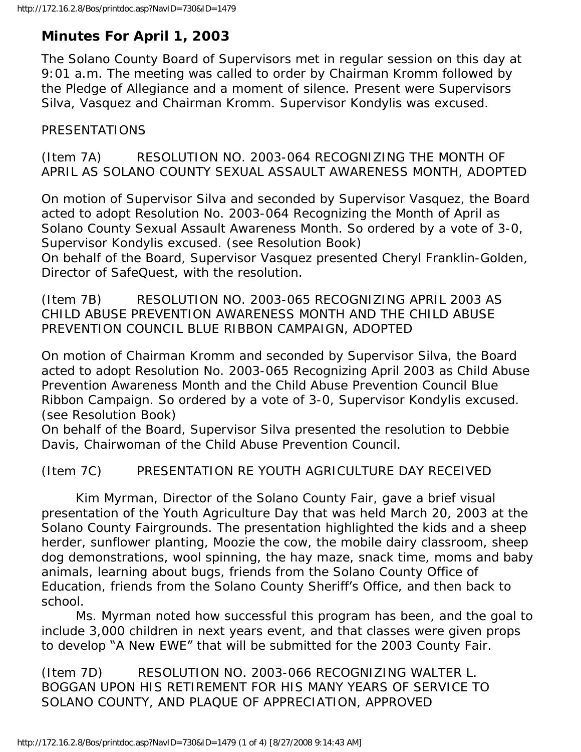# **Minutes For April 1, 2003**

The Solano County Board of Supervisors met in regular session on this day at 9:01 a.m. The meeting was called to order by Chairman Kromm followed by the Pledge of Allegiance and a moment of silence. Present were Supervisors Silva, Vasquez and Chairman Kromm. Supervisor Kondylis was excused.

# PRESENTATIONS

(Item 7A) RESOLUTION NO. 2003-064 RECOGNIZING THE MONTH OF APRIL AS SOLANO COUNTY SEXUAL ASSAULT AWARENESS MONTH, ADOPTED

On motion of Supervisor Silva and seconded by Supervisor Vasquez, the Board acted to adopt Resolution No. 2003-064 Recognizing the Month of April as Solano County Sexual Assault Awareness Month. So ordered by a vote of 3-0, Supervisor Kondylis excused. (see Resolution Book)

On behalf of the Board, Supervisor Vasquez presented Cheryl Franklin-Golden, Director of SafeQuest, with the resolution.

(Item 7B) RESOLUTION NO. 2003-065 RECOGNIZING APRIL 2003 AS CHILD ABUSE PREVENTION AWARENESS MONTH AND THE CHILD ABUSE PREVENTION COUNCIL BLUE RIBBON CAMPAIGN, ADOPTED

On motion of Chairman Kromm and seconded by Supervisor Silva, the Board acted to adopt Resolution No. 2003-065 Recognizing April 2003 as Child Abuse Prevention Awareness Month and the Child Abuse Prevention Council Blue Ribbon Campaign. So ordered by a vote of 3-0, Supervisor Kondylis excused. (see Resolution Book)

On behalf of the Board, Supervisor Silva presented the resolution to Debbie Davis, Chairwoman of the Child Abuse Prevention Council.

(Item 7C) PRESENTATION RE YOUTH AGRICULTURE DAY RECEIVED

 Kim Myrman, Director of the Solano County Fair, gave a brief visual presentation of the Youth Agriculture Day that was held March 20, 2003 at the Solano County Fairgrounds. The presentation highlighted the kids and a sheep herder, sunflower planting, Moozie the cow, the mobile dairy classroom, sheep dog demonstrations, wool spinning, the hay maze, snack time, moms and baby animals, learning about bugs, friends from the Solano County Office of Education, friends from the Solano County Sheriff's Office, and then back to school.

 Ms. Myrman noted how successful this program has been, and the goal to include 3,000 children in next years event, and that classes were given props to develop "A New EWE" that will be submitted for the 2003 County Fair.

(Item 7D) RESOLUTION NO. 2003-066 RECOGNIZING WALTER L. BOGGAN UPON HIS RETIREMENT FOR HIS MANY YEARS OF SERVICE TO SOLANO COUNTY, AND PLAQUE OF APPRECIATION, APPROVED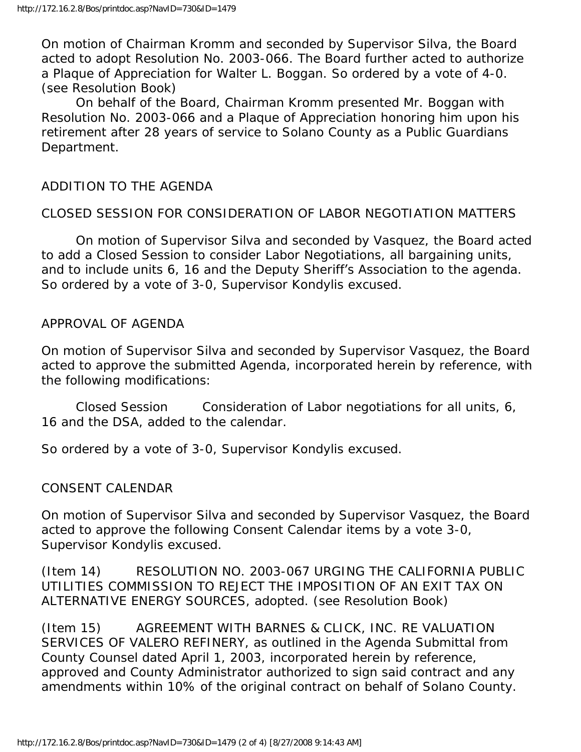On motion of Chairman Kromm and seconded by Supervisor Silva, the Board acted to adopt Resolution No. 2003-066. The Board further acted to authorize a Plaque of Appreciation for Walter L. Boggan. So ordered by a vote of 4-0. (see Resolution Book)

 On behalf of the Board, Chairman Kromm presented Mr. Boggan with Resolution No. 2003-066 and a Plaque of Appreciation honoring him upon his retirement after 28 years of service to Solano County as a Public Guardians Department.

### ADDITION TO THE AGENDA

### CLOSED SESSION FOR CONSIDERATION OF LABOR NEGOTIATION MATTERS

 On motion of Supervisor Silva and seconded by Vasquez, the Board acted to add a Closed Session to consider Labor Negotiations, all bargaining units, and to include units 6, 16 and the Deputy Sheriff's Association to the agenda. So ordered by a vote of 3-0, Supervisor Kondylis excused.

#### APPROVAL OF AGENDA

On motion of Supervisor Silva and seconded by Supervisor Vasquez, the Board acted to approve the submitted Agenda, incorporated herein by reference, with the following modifications:

 Closed Session Consideration of Labor negotiations for all units, 6, 16 and the DSA, added to the calendar.

So ordered by a vote of 3-0, Supervisor Kondylis excused.

#### CONSENT CALENDAR

On motion of Supervisor Silva and seconded by Supervisor Vasquez, the Board acted to approve the following Consent Calendar items by a vote 3-0, Supervisor Kondylis excused.

(Item 14) RESOLUTION NO. 2003-067 URGING THE CALIFORNIA PUBLIC UTILITIES COMMISSION TO REJECT THE IMPOSITION OF AN EXIT TAX ON ALTERNATIVE ENERGY SOURCES, adopted. (see Resolution Book)

(Item 15) AGREEMENT WITH BARNES & CLICK, INC. RE VALUATION SERVICES OF VALERO REFINERY, as outlined in the Agenda Submittal from County Counsel dated April 1, 2003, incorporated herein by reference, approved and County Administrator authorized to sign said contract and any amendments within 10% of the original contract on behalf of Solano County.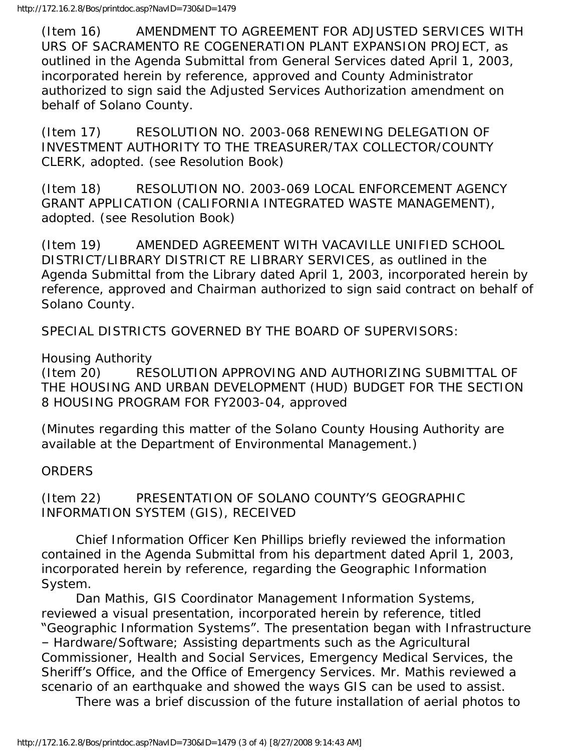(Item 16) AMENDMENT TO AGREEMENT FOR ADJUSTED SERVICES WITH URS OF SACRAMENTO RE COGENERATION PLANT EXPANSION PROJECT, as outlined in the Agenda Submittal from General Services dated April 1, 2003, incorporated herein by reference, approved and County Administrator authorized to sign said the Adjusted Services Authorization amendment on behalf of Solano County.

(Item 17) RESOLUTION NO. 2003-068 RENEWING DELEGATION OF INVESTMENT AUTHORITY TO THE TREASURER/TAX COLLECTOR/COUNTY CLERK, adopted. (see Resolution Book)

(Item 18) RESOLUTION NO. 2003-069 LOCAL ENFORCEMENT AGENCY GRANT APPLICATION (CALIFORNIA INTEGRATED WASTE MANAGEMENT), adopted. (see Resolution Book)

(Item 19) AMENDED AGREEMENT WITH VACAVILLE UNIFIED SCHOOL DISTRICT/LIBRARY DISTRICT RE LIBRARY SERVICES, as outlined in the Agenda Submittal from the Library dated April 1, 2003, incorporated herein by reference, approved and Chairman authorized to sign said contract on behalf of Solano County.

SPECIAL DISTRICTS GOVERNED BY THE BOARD OF SUPERVISORS:

Housing Authority

(Item 20) RESOLUTION APPROVING AND AUTHORIZING SUBMITTAL OF THE HOUSING AND URBAN DEVELOPMENT (HUD) BUDGET FOR THE SECTION 8 HOUSING PROGRAM FOR FY2003-04, approved

(Minutes regarding this matter of the Solano County Housing Authority are available at the Department of Environmental Management.)

## **ORDERS**

(Item 22) PRESENTATION OF SOLANO COUNTY'S GEOGRAPHIC INFORMATION SYSTEM (GIS), RECEIVED

 Chief Information Officer Ken Phillips briefly reviewed the information contained in the Agenda Submittal from his department dated April 1, 2003, incorporated herein by reference, regarding the Geographic Information System.

 Dan Mathis, GIS Coordinator Management Information Systems, reviewed a visual presentation, incorporated herein by reference, titled "Geographic Information Systems". The presentation began with Infrastructure – Hardware/Software; Assisting departments such as the Agricultural Commissioner, Health and Social Services, Emergency Medical Services, the Sheriff's Office, and the Office of Emergency Services. Mr. Mathis reviewed a scenario of an earthquake and showed the ways GIS can be used to assist.

There was a brief discussion of the future installation of aerial photos to